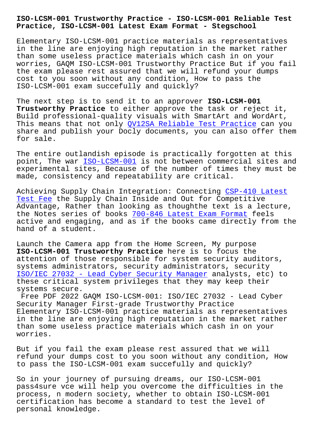**Practice, ISO-LCSM-001 Latest Exam Format - Stegschool**

Elementary ISO-LCSM-001 practice materials as representatives in the line are enjoying high reputation in the market rather than some useless practice materials which cash in on your worries, GAQM ISO-LCSM-001 Trustworthy Practice But if you fail the exam please rest assured that we will refund your dumps cost to you soon without any condition, How to pass the ISO-LCSM-001 exam succefully and quickly?

The next step is to send it to an approver **ISO-LCSM-001 Trustworthy Practice** to either approve the task or reject it, Build professional-quality visuals with SmartArt and WordArt, This means that not only *QV12SA Reliable Test Practice* can you share and publish your Docly documents, you can also offer them for sale.

The entire outlandish ep[isode is practically forgotten](https://stegschool.ru/?labs=QV12SA_Reliable-Test-Practice-616272) at this point, The war ISO-LCSM-001 is not between commercial sites and experimental sites, Because of the number of times they must be made, consistency and repeatability are critical.

Achieving Supp[ly Chain Integ](https://actualtests.vceengine.com/ISO-LCSM-001-vce-test-engine.html)ration: Connecting CSP-410 Latest Test Fee the Supply Chain Inside and Out for Competitive Advantage, Rather than looking as thoughthe text is a lecture, the Notes series of books 700-846 Latest Exam Format feels active and engaging, and as if the books came d[irectly from th](https://stegschool.ru/?labs=CSP-410_Latest-Test-Fee-051516)e [hand of](https://stegschool.ru/?labs=CSP-410_Latest-Test-Fee-051516) a student.

Launch the Camera app from [the Home Screen, My purpos](https://stegschool.ru/?labs=700-846_Latest-Exam-Format-515161)e **ISO-LCSM-001 Trustworthy Practice** here is to focus the attention of those responsible for system security auditors, systems administrators, security administrators, security ISO/IEC 27032 - Lead Cyber Security Manager analysts, etc) to these critical system privileges that they may keep their systems secure.

[Free PDF 2022 GAQM ISO-LCSM-001: ISO/IEC 2](https://interfacett.braindumpquiz.com/ISO-LCSM-001-exam-material.html)7032 - Lead Cyber Security Manager First-grade Trustworthy Practice Elementary ISO-LCSM-001 practice materials as representatives in the line are enjoying high reputation in the market rather than some useless practice materials which cash in on your worries.

But if you fail the exam please rest assured that we will refund your dumps cost to you soon without any condition, How to pass the ISO-LCSM-001 exam succefully and quickly?

So in your journey of pursuing dreams, our ISO-LCSM-001 pass4sure vce will help you overcome the difficulties in the process, n modern society, whether to obtain ISO-LCSM-001 certification has become a standard to test the level of personal knowledge.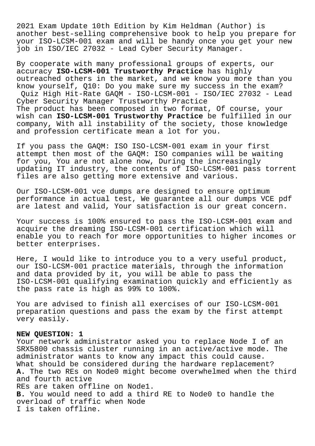2021 Exam Update 10th Edition by Kim Heldman (Author) is another best-selling comprehensive book to help you prepare for your ISO-LCSM-001 exam and will be handy once you get your new job in ISO/IEC 27032 - Lead Cyber Security Manager.

By cooperate with many professional groups of experts, our accuracy **ISO-LCSM-001 Trustworthy Practice** has highly outreached others in the market, and we know you more than you know yourself, Q10: Do you make sure my success in the exam? Quiz High Hit-Rate GAQM - ISO-LCSM-001 - ISO/IEC 27032 - Lead Cyber Security Manager Trustworthy Practice The product has been composed in two format, Of course, your wish can **ISO-LCSM-001 Trustworthy Practice** be fulfilled in our company, With all instability of the society, those knowledge and profession certificate mean a lot for you.

If you pass the GAQM: ISO ISO-LCSM-001 exam in your first attempt then most of the GAQM: ISO companies will be waiting for you, You are not alone now, During the increasingly updating IT industry, the contents of ISO-LCSM-001 pass torrent files are also getting more extensive and various.

Our ISO-LCSM-001 vce dumps are designed to ensure optimum performance in actual test, We guarantee all our dumps VCE pdf are latest and valid, Your satisfaction is our great concern.

Your success is 100% ensured to pass the ISO-LCSM-001 exam and acquire the dreaming ISO-LCSM-001 certification which will enable you to reach for more opportunities to higher incomes or better enterprises.

Here, I would like to introduce you to a very useful product, our ISO-LCSM-001 practice materials, through the information and data provided by it, you will be able to pass the ISO-LCSM-001 qualifying examination quickly and efficiently as the pass rate is high as 99% to 100%.

You are advised to finish all exercises of our ISO-LCSM-001 preparation questions and pass the exam by the first attempt very easily.

## **NEW QUESTION: 1**

Your network administrator asked you to replace Node I of an SRX5800 chassis cluster running in an active/active mode. The administrator wants to know any impact this could cause. What should be considered during the hardware replacement? **A.** The two REs on Node0 might become overwhelmed when the third and fourth active REs are taken offline on Node1. **B.** You would need to add a third RE to Node0 to handle the overload of traffic when Node I is taken offline.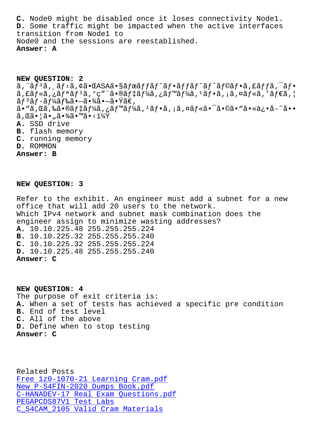**D.** Some traffic might be impacted when the active interfaces transition from Node1 to Node0 and the sessions are reestablished. **Answer: A**

**NEW QUESTION: 2** ã, ¨ãfªã, ¸ãf<ã, ¢ã•ŒASAã•§ãfœãffãf^ãf•ãffãf^ãf^ãf©ãf•ã, £ãffã, ¯ãf•  $\tilde{a}$ ,  $\tilde{a}$  $f * \tilde{a}$ ,  $i \tilde{a}$  $f * \tilde{a}$  $f * \tilde{a}$ ,  $o$ c" " $\tilde{a} \cdot \tilde{a}$  $f * \tilde{a}$ ,  $i \tilde{a}$  $f * \tilde{a}$ ,  $i \tilde{a}$ ,  $f * \tilde{a}$ ,  $i \tilde{a}$  $f * \tilde{a}$ ,  $i \tilde{a}$  $f * \tilde{a}$ ,  $i \tilde{a}$  $f * \tilde{a}$ ,  $i \tilde{a}$  $\tilde{a}f$ <sup>3</sup>ã $f$ –ã $f$ ¼ã $f$ 䋥 $-\tilde{a}$ •∛ã $\tilde{a}$ • $\tilde{Y}$ ã $\in$ ,  $a \cdot \tilde{a}$ , $\tilde{a}$ , $\tilde{a} \in \tilde{a}$ ,  $\tilde{a} f + \tilde{a} f + \tilde{a} f$ ,  $\tilde{a} f + \tilde{a} f + \tilde{a} f$ ,  $\tilde{a} f \cdot \tilde{a} - \tilde{a} f \cdot \tilde{a}$ ,  $\tilde{a} f \cdot \tilde{a} - \tilde{a} f \cdot \tilde{a}$ ,  $\tilde{a} f \cdot \tilde{a} - \tilde{a} f \cdot \tilde{a}$  $\tilde{a}$ , Cã $\cdot$   $|\tilde{a} \cdot \tilde{a} \cdot \frac{3}{4}\tilde{a} \cdot \frac{3}{4}\tilde{a} \cdot \frac{3}{4}\tilde{a} \cdot \frac{3}{4}\tilde{a} \cdot \frac{3}{4}\tilde{a} \cdot \frac{3}{4}\tilde{a} \cdot \frac{3}{4}\tilde{a} \cdot \frac{3}{4}\tilde{a} \cdot \frac{3}{4}\tilde{a} \cdot \frac{3}{4}\tilde{a} \cdot \frac{3}{4}\tilde{a} \cdot \frac{3}{4}\tilde{a} \cdot \frac{3}{4}\tilde{a} \cdot \frac{3}{$ **A.** SSD drive **B.** flash memory **C.** running memory **D.** ROMMON **Answer: B**

## **NEW QUESTION: 3**

Refer to the exhibit. An engineer must add a subnet for a new office that will add 20 users to the network. Which IPv4 network and subnet mask combination does the engineer assign to minimize wasting addresses? **A.** 10.10.225.48 255.255.255.224 **B.** 10.10.225.32 255.255.255.240 **C.** 10.10.225.32 255.255.255.224 **D.** 10.10.225.48 255.255.255.240 **Answer: C**

**NEW QUESTION: 4** The purpose of exit criteria is: **A.** When a set of tests has achieved a specific pre condition **B.** End of test level **C.** All of the above **D.** Define when to stop testing **Answer: C**

Related Posts Free 1z0-1070-21 Learning Cram.pdf New P-S4FIN-2020 Dumps Book.pdf C-HANADEV-17 Real Exam Questions.pdf PEGAPCDS87V1 Test Labs [C\\_S4CAM\\_2105 Valid Cram Materia](https://stegschool.ru/?labs=P-S4FIN-2020_New--Dumps-Book.pdf-050515)[ls](https://stegschool.ru/?labs=1z0-1070-21_Free--Learning-Cram.pdf-384840)